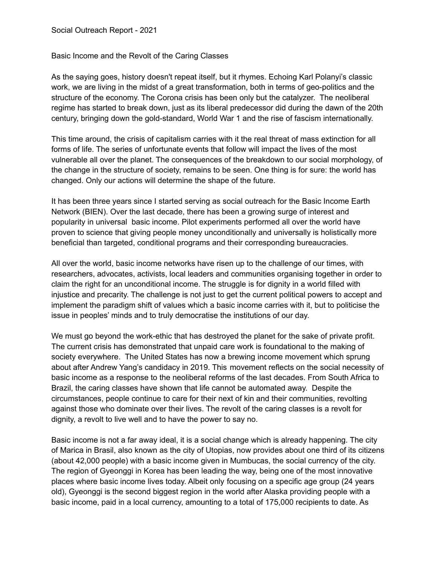Basic Income and the Revolt of the Caring Classes

As the saying goes, history doesn't repeat itself, but it rhymes. Echoing Karl Polanyi's classic work, we are living in the midst of a great transformation, both in terms of geo-politics and the structure of the economy. The Corona crisis has been only but the catalyzer. The neoliberal regime has started to break down, just as its liberal predecessor did during the dawn of the 20th century, bringing down the gold-standard, World War 1 and the rise of fascism internationally.

This time around, the crisis of capitalism carries with it the real threat of mass extinction for all forms of life. The series of unfortunate events that follow will impact the lives of the most vulnerable all over the planet. The consequences of the breakdown to our social morphology, of the change in the structure of society, remains to be seen. One thing is for sure: the world has changed. Only our actions will determine the shape of the future.

It has been three years since I started serving as social outreach for the Basic Income Earth Network (BIEN). Over the last decade, there has been a growing surge of interest and popularity in universal basic income. Pilot experiments performed all over the world have proven to science that giving people money unconditionally and universally is holistically more beneficial than targeted, conditional programs and their corresponding bureaucracies.

All over the world, basic income networks have risen up to the challenge of our times, with researchers, advocates, activists, local leaders and communities organising together in order to claim the right for an unconditional income. The struggle is for dignity in a world filled with injustice and precarity. The challenge is not just to get the current political powers to accept and implement the paradigm shift of values which a basic income carries with it, but to politicise the issue in peoples' minds and to truly democratise the institutions of our day.

We must go beyond the work-ethic that has destroyed the planet for the sake of private profit. The current crisis has demonstrated that unpaid care work is foundational to the making of society everywhere. The United States has now a brewing income movement which sprung about after Andrew Yang's candidacy in 2019. This movement reflects on the social necessity of basic income as a response to the neoliberal reforms of the last decades. From South Africa to Brazil, the caring classes have shown that life cannot be automated away. Despite the circumstances, people continue to care for their next of kin and their communities, revolting against those who dominate over their lives. The revolt of the caring classes is a revolt for dignity, a revolt to live well and to have the power to say no.

Basic income is not a far away ideal, it is a social change which is already happening. The city of Marica in Brasil, also known as the city of Utopias, now provides about one third of its citizens (about 42,000 people) with a basic income given in Mumbucas, the social currency of the city. The region of Gyeonggi in Korea has been leading the way, being one of the most innovative places where basic income lives today. Albeit only focusing on a specific age group (24 years old), Gyeonggi is the second biggest region in the world after Alaska providing people with a basic income, paid in a local currency, amounting to a total of 175,000 recipients to date. As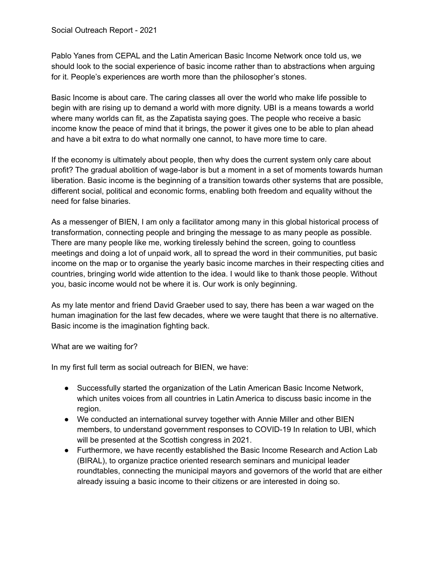Pablo Yanes from CEPAL and the Latin American Basic Income Network once told us, we should look to the social experience of basic income rather than to abstractions when arguing for it. People's experiences are worth more than the philosopher's stones.

Basic Income is about care. The caring classes all over the world who make life possible to begin with are rising up to demand a world with more dignity. UBI is a means towards a world where many worlds can fit, as the Zapatista saying goes. The people who receive a basic income know the peace of mind that it brings, the power it gives one to be able to plan ahead and have a bit extra to do what normally one cannot, to have more time to care.

If the economy is ultimately about people, then why does the current system only care about profit? The gradual abolition of wage-labor is but a moment in a set of moments towards human liberation. Basic income is the beginning of a transition towards other systems that are possible, different social, political and economic forms, enabling both freedom and equality without the need for false binaries.

As a messenger of BIEN, I am only a facilitator among many in this global historical process of transformation, connecting people and bringing the message to as many people as possible. There are many people like me, working tirelessly behind the screen, going to countless meetings and doing a lot of unpaid work, all to spread the word in their communities, put basic income on the map or to organise the yearly basic income marches in their respecting cities and countries, bringing world wide attention to the idea. I would like to thank those people. Without you, basic income would not be where it is. Our work is only beginning.

As my late mentor and friend David Graeber used to say, there has been a war waged on the human imagination for the last few decades, where we were taught that there is no alternative. Basic income is the imagination fighting back.

## What are we waiting for?

In my first full term as social outreach for BIEN, we have:

- Successfully started the organization of the Latin American Basic Income Network, which unites voices from all countries in Latin America to discuss basic income in the region.
- We conducted an international survey together with Annie Miller and other BIEN members, to understand government responses to COVID-19 In relation to UBI, which will be presented at the Scottish congress in 2021.
- Furthermore, we have recently established the Basic Income Research and Action Lab (BIRAL), to organize practice oriented research seminars and municipal leader roundtables, connecting the municipal mayors and governors of the world that are either already issuing a basic income to their citizens or are interested in doing so.